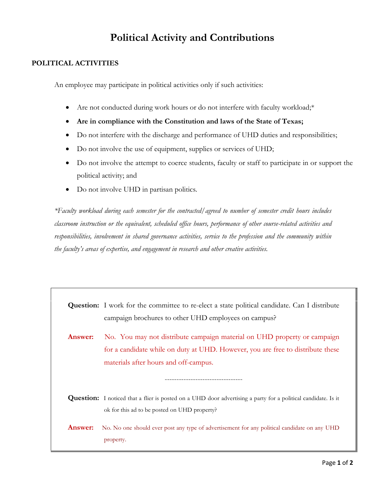## **Political Activity and Contributions**

## **POLITICAL ACTIVITIES**

An employee may participate in political activities only if such activities:

- Are not conducted during work hours or do not interfere with faculty workload;\*
- **Are in compliance with the Constitution and laws of the State of Texas;**
- Do not interfere with the discharge and performance of UHD duties and responsibilities;
- Do not involve the use of equipment, supplies or services of UHD;
- Do not involve the attempt to coerce students, faculty or staff to participate in or support the political activity; and
- Do not involve UHD in partisan politics.

*\*Faculty workload during each semester for the contracted/agreed to number of semester credit hours includes classroom instruction or the equivalent, scheduled office hours, performance of other course-related activities and responsibilities, involvement in shared governance activities, service to the profession and the community within the faculty's areas of expertise, and engagement in research and other creative activities.*